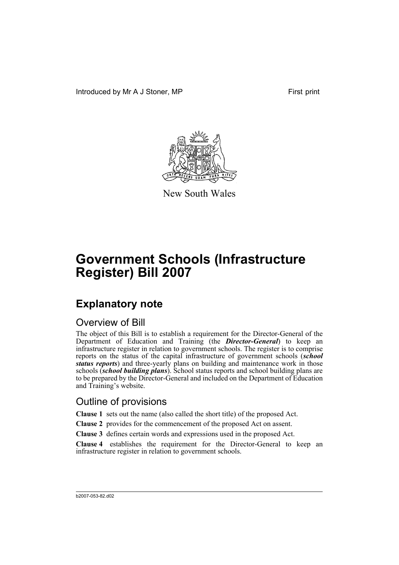Introduced by Mr A J Stoner, MP First print



New South Wales

# **Government Schools (Infrastructure Register) Bill 2007**

## **Explanatory note**

#### Overview of Bill

The object of this Bill is to establish a requirement for the Director-General of the Department of Education and Training (the *Director-General*) to keep an infrastructure register in relation to government schools. The register is to comprise reports on the status of the capital infrastructure of government schools (*school status reports*) and three-yearly plans on building and maintenance work in those schools (*school building plans*). School status reports and school building plans are to be prepared by the Director-General and included on the Department of Education and Training's website.

### Outline of provisions

**Clause 1** sets out the name (also called the short title) of the proposed Act.

**Clause 2** provides for the commencement of the proposed Act on assent.

**Clause 3** defines certain words and expressions used in the proposed Act.

**Clause 4** establishes the requirement for the Director-General to keep an infrastructure register in relation to government schools.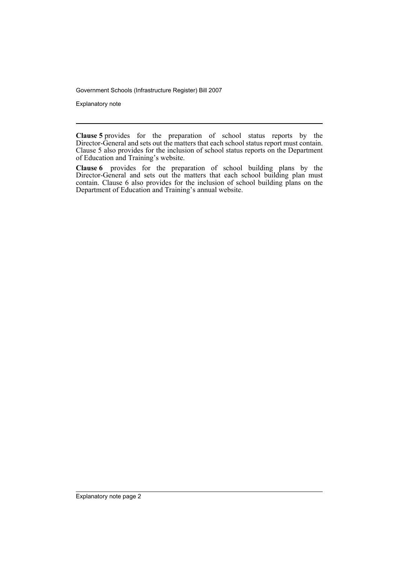Government Schools (Infrastructure Register) Bill 2007

Explanatory note

**Clause 5** provides for the preparation of school status reports by the Director-General and sets out the matters that each school status report must contain. Clause 5 also provides for the inclusion of school status reports on the Department of Education and Training's website.

**Clause 6** provides for the preparation of school building plans by the Director-General and sets out the matters that each school building plan must contain. Clause 6 also provides for the inclusion of school building plans on the Department of Education and Training's annual website.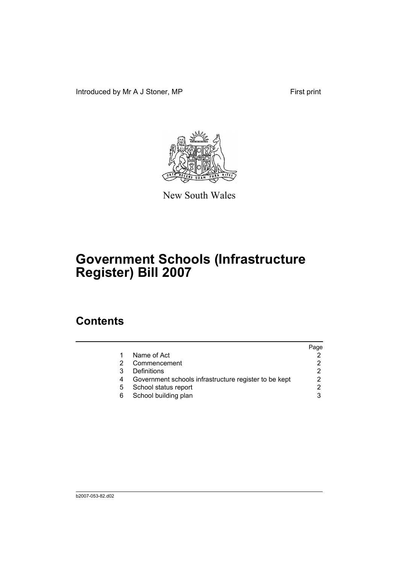Introduced by Mr A J Stoner, MP First print



New South Wales

# **Government Schools (Infrastructure Register) Bill 2007**

## **Contents**

|   |                                                       | Page |
|---|-------------------------------------------------------|------|
|   | Name of Act                                           |      |
|   | Commencement                                          |      |
|   | Definitions                                           |      |
| 4 | Government schools infrastructure register to be kept | 2    |
| 5 | School status report                                  | っ    |
| 6 | School building plan                                  |      |
|   |                                                       |      |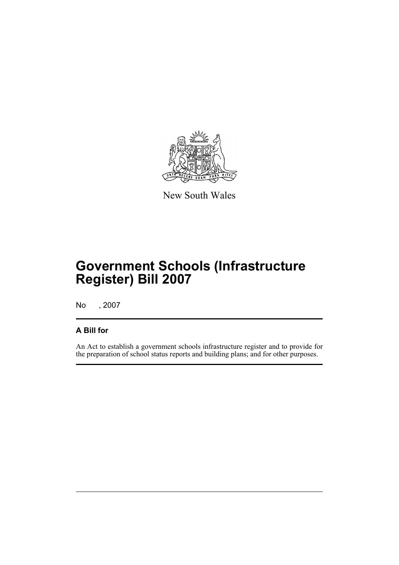

New South Wales

# **Government Schools (Infrastructure Register) Bill 2007**

No , 2007

#### **A Bill for**

An Act to establish a government schools infrastructure register and to provide for the preparation of school status reports and building plans; and for other purposes.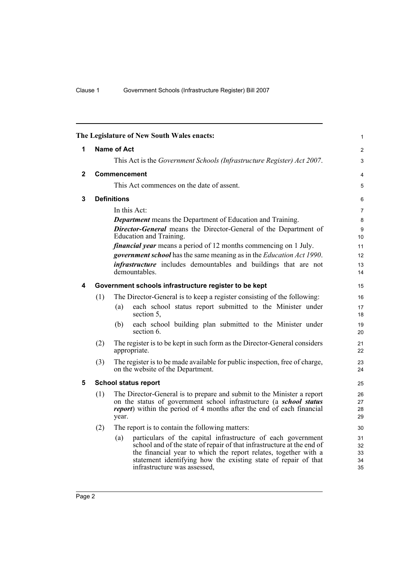<span id="page-5-4"></span><span id="page-5-3"></span><span id="page-5-2"></span><span id="page-5-1"></span><span id="page-5-0"></span>

|              |     | The Legislature of New South Wales enacts:                                                                                                                                                                                                                                                                                                                                                                                            | $\mathbf{1}$                        |
|--------------|-----|---------------------------------------------------------------------------------------------------------------------------------------------------------------------------------------------------------------------------------------------------------------------------------------------------------------------------------------------------------------------------------------------------------------------------------------|-------------------------------------|
| 1            |     | <b>Name of Act</b>                                                                                                                                                                                                                                                                                                                                                                                                                    | $\overline{2}$                      |
|              |     | This Act is the Government Schools (Infrastructure Register) Act 2007.                                                                                                                                                                                                                                                                                                                                                                | 3                                   |
| $\mathbf{2}$ |     | <b>Commencement</b>                                                                                                                                                                                                                                                                                                                                                                                                                   | $\overline{4}$                      |
|              |     | This Act commences on the date of assent.                                                                                                                                                                                                                                                                                                                                                                                             | 5                                   |
| 3            |     | <b>Definitions</b>                                                                                                                                                                                                                                                                                                                                                                                                                    | 6                                   |
|              |     | In this Act:<br><b>Department</b> means the Department of Education and Training.<br><b>Director-General</b> means the Director-General of the Department of<br>Education and Training.<br><i>financial year</i> means a period of 12 months commencing on 1 July.<br>government school has the same meaning as in the Education Act 1990.<br><i>infrastructure</i> includes demountables and buildings that are not<br>demountables. | 7<br>8<br>9<br>10<br>11<br>12<br>13 |
| 4            |     | Government schools infrastructure register to be kept                                                                                                                                                                                                                                                                                                                                                                                 | 14<br>15                            |
|              | (1) | The Director-General is to keep a register consisting of the following:                                                                                                                                                                                                                                                                                                                                                               | 16                                  |
|              |     | each school status report submitted to the Minister under<br>(a)<br>section 5,                                                                                                                                                                                                                                                                                                                                                        | 17<br>18                            |
|              |     | each school building plan submitted to the Minister under<br>(b)<br>section 6.                                                                                                                                                                                                                                                                                                                                                        | 19<br>20                            |
|              | (2) | The register is to be kept in such form as the Director-General considers<br>appropriate.                                                                                                                                                                                                                                                                                                                                             | 21<br>22                            |
|              | (3) | The register is to be made available for public inspection, free of charge,<br>on the website of the Department.                                                                                                                                                                                                                                                                                                                      | 23<br>24                            |
| 5            |     | <b>School status report</b>                                                                                                                                                                                                                                                                                                                                                                                                           | 25                                  |
|              | (1) | The Director-General is to prepare and submit to the Minister a report<br>on the status of government school infrastructure (a school status<br><i>report</i> ) within the period of 4 months after the end of each financial<br>year.                                                                                                                                                                                                | 26<br>27<br>28<br>29                |
|              | (2) | The report is to contain the following matters:                                                                                                                                                                                                                                                                                                                                                                                       | 30                                  |
|              |     | particulars of the capital infrastructure of each government<br>(a)<br>school and of the state of repair of that infrastructure at the end of<br>the financial year to which the report relates, together with a<br>statement identifying how the existing state of repair of that<br>infrastructure was assessed,                                                                                                                    | 31<br>32<br>33<br>34<br>35          |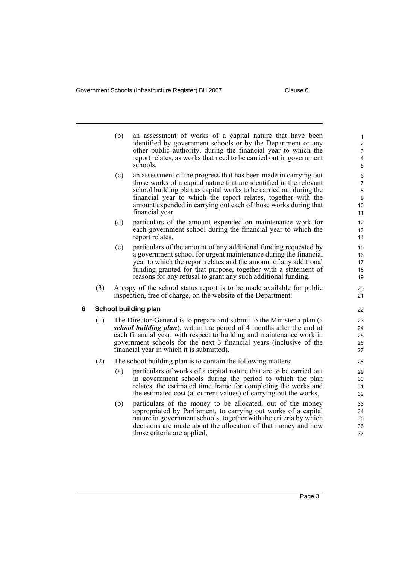<span id="page-6-0"></span>(b) an assessment of works of a capital nature that have been identified by government schools or by the Department or any other public authority, during the financial year to which the report relates, as works that need to be carried out in government schools, (c) an assessment of the progress that has been made in carrying out those works of a capital nature that are identified in the relevant school building plan as capital works to be carried out during the financial year to which the report relates, together with the amount expended in carrying out each of those works during that financial year, (d) particulars of the amount expended on maintenance work for each government school during the financial year to which the report relates, (e) particulars of the amount of any additional funding requested by a government school for urgent maintenance during the financial year to which the report relates and the amount of any additional funding granted for that purpose, together with a statement of reasons for any refusal to grant any such additional funding. (3) A copy of the school status report is to be made available for public inspection, free of charge, on the website of the Department. **6 School building plan** (1) The Director-General is to prepare and submit to the Minister a plan (a *school building plan*), within the period of 4 months after the end of each financial year, with respect to building and maintenance work in government schools for the next 3 financial years (inclusive of the financial year in which it is submitted). (2) The school building plan is to contain the following matters: (a) particulars of works of a capital nature that are to be carried out in government schools during the period to which the plan relates, the estimated time frame for completing the works and the estimated cost (at current values) of carrying out the works, (b) particulars of the money to be allocated, out of the money appropriated by Parliament, to carrying out works of a capital nature in government schools, together with the criteria by which decisions are made about the allocation of that money and how those criteria are applied, 1 2 3 4 5 6 7 8 **9** 10 11 12 13 14 15 16 17 18 19 20 21 22 23 24 25 26 27 28 29 30 31 32 33 34 35 36 37